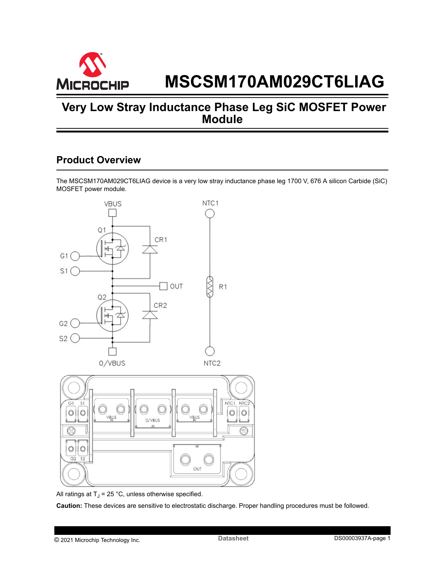

## **Very Low Stray Inductance Phase Leg SiC MOSFET Power Module**

### **Product Overview**

The MSCSM170AM029CT6LIAG device is a very low stray inductance phase leg 1700 V, 676 A silicon Carbide (SiC) MOSFET power module.







**Caution:** These devices are sensitive to electrostatic discharge. Proper handling procedures must be followed.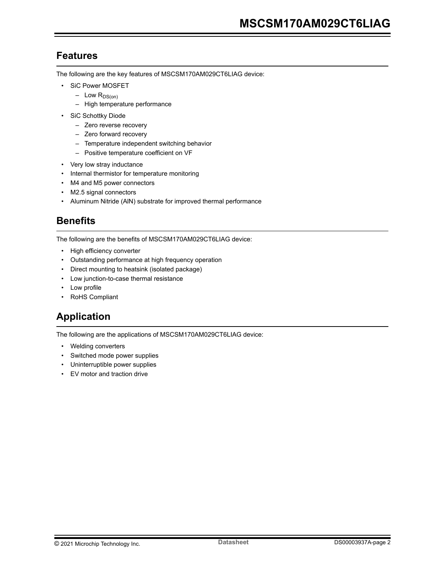### **Features**

The following are the key features of MSCSM170AM029CT6LIAG device:

- SiC Power MOSFET
	- $-$  Low  $R_{DS(on)}$
	- High temperature performance
- SiC Schottky Diode
	- Zero reverse recovery
	- Zero forward recovery
	- Temperature independent switching behavior
	- Positive temperature coefficient on VF
- Very low stray inductance
- Internal thermistor for temperature monitoring
- M4 and M5 power connectors
- M2.5 signal connectors
- Aluminum Nitride (AlN) substrate for improved thermal performance

### **Benefits**

The following are the benefits of MSCSM170AM029CT6LIAG device:

- High efficiency converter
- Outstanding performance at high frequency operation
- Direct mounting to heatsink (isolated package)
- Low junction-to-case thermal resistance
- Low profile
- RoHS Compliant

## **Application**

The following are the applications of MSCSM170AM029CT6LIAG device:

- Welding converters
- Switched mode power supplies
- Uninterruptible power supplies
- EV motor and traction drive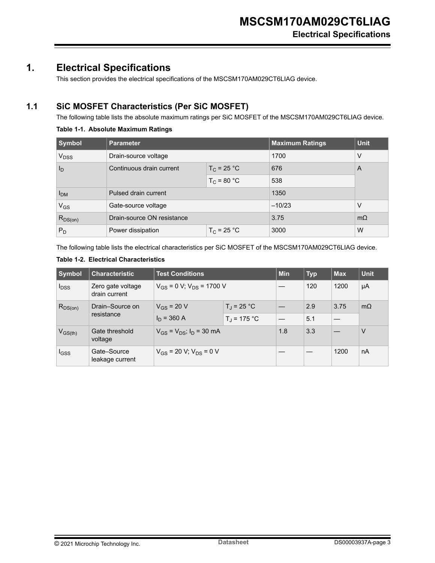### **1. Electrical Specifications**

This section provides the electrical specifications of the MSCSM170AM029CT6LIAG device.

### **1.1 SiC MOSFET Characteristics (Per SiC MOSFET)**

The following table lists the absolute maximum ratings per SiC MOSFET of the MSCSM170AM029CT6LIAG device.

### **Table 1-1. Absolute Maximum Ratings**

| <b>Symbol</b>    | <b>Parameter</b>           |                 | <b>Maximum Ratings</b> | <b>Unit</b> |  |
|------------------|----------------------------|-----------------|------------------------|-------------|--|
| V <sub>DSS</sub> | Drain-source voltage       |                 | 1700                   | V           |  |
| $I_D$            | Continuous drain current   | $T_C = 25 °C$   | 676                    | A           |  |
|                  |                            | $T_c = 80 °C$   | 538                    |             |  |
| I <sub>DM</sub>  | Pulsed drain current       |                 |                        |             |  |
| $V_{GS}$         | Gate-source voltage        | $-10/23$        |                        | ٧           |  |
| $R_{DS(on)}$     | Drain-source ON resistance | 3.75            |                        | $m\Omega$   |  |
| $P_D$            | Power dissipation          | $T_{C}$ = 25 °C | 3000                   | W           |  |

The following table lists the electrical characteristics per SiC MOSFET of the MSCSM170AM029CT6LIAG device.

| Symbol           | <b>Characteristic</b>              | <b>Test Conditions</b>            |                     | <b>Min</b> | <b>Typ</b> | <b>Max</b> | <b>Unit</b> |
|------------------|------------------------------------|-----------------------------------|---------------------|------------|------------|------------|-------------|
| $I_{\text{DSS}}$ | Zero gate voltage<br>drain current | $V_{GS}$ = 0 V; $V_{DS}$ = 1700 V |                     |            | 120        | 1200       | μA          |
| $R_{DS(on)}$     | Drain-Source on                    | $V_{GS}$ = 20 V                   | $T_{\rm J}$ = 25 °C |            | 2.9        | 3.75       | $m\Omega$   |
|                  | resistance                         | $I_D = 360 A$                     | $T_J = 175 °C$      |            | 5.1        |            |             |
| $V_{GS(th)}$     | Gate threshold<br>voltage          | $V_{GS} = V_{DS}$ ; $I_D = 30$ mA |                     | 1.8        | 3.3        |            | $\vee$      |
| l <sub>GSS</sub> | Gate-Source<br>leakage current     | $V_{GS}$ = 20 V; $V_{DS}$ = 0 V   |                     |            |            | 1200       | nA          |

#### **Table 1-2. Electrical Characteristics**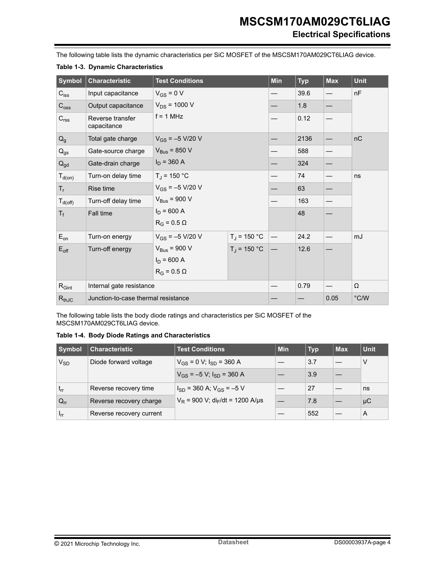### **Electrical Specifications**

The following table lists the dynamic characteristics per SiC MOSFET of the MSCSM170AM029CT6LIAG device.

| <b>Symbol</b>       | <b>Characteristic</b>               | <b>Test Conditions</b>              |                      | Min  | <b>Typ</b> | <b>Max</b> | <b>Unit</b>   |
|---------------------|-------------------------------------|-------------------------------------|----------------------|------|------------|------------|---------------|
| $C_{iss}$           | Input capacitance                   | $V_{GS} = 0 V$                      |                      |      | 39.6       |            | nF            |
| $C_{\rm oss}$       | Output capacitance                  | $V_{DS}$ = 1000 V                   |                      |      | 1.8        |            |               |
| $C_{rss}$           | Reverse transfer<br>capacitance     | $f = 1$ MHz                         |                      |      | 0.12       |            |               |
| $Q_{q}$             | Total gate charge                   | $V_{GS} = -5 V/20 V$                |                      |      | 2136       |            | nC            |
| $Q_{gs}$            | Gate-source charge                  | $V_{Bus} = 850 V$                   |                      |      | 588        |            |               |
| $Q_{gd}$            | Gate-drain charge                   | $I_D = 360 A$                       |                      |      | 324        |            |               |
| $T_{d(on)}$         | Turn-on delay time                  | $T_J = 150 °C$                      |                      |      | 74         |            | ns            |
| $T_r$               | Rise time                           | $V_{GS} = -5$ V/20 V                |                      |      | 63         |            |               |
| $T_{d(\text{off})}$ | Turn-off delay time                 | $V_{Bus}$ = 900 V                   |                      |      | 163        |            |               |
| $T_f$               | Fall time                           | $I_D = 600 A$<br>$R_G = 0.5 \Omega$ |                      |      | 48         |            |               |
| $E_{on}$            | Turn-on energy                      | $V_{GS} = -5 V/20 V$                | $T_J$ = 150 °C       |      | 24.2       |            | mJ            |
| $E_{\text{off}}$    | Turn-off energy                     | $V_{Bus}$ = 900 V                   | $T_{\rm J}$ = 150 °C |      | 12.6       |            |               |
|                     |                                     | $I_D = 600 A$                       |                      |      |            |            |               |
|                     |                                     | $R_G$ = 0.5 $\Omega$                |                      |      |            |            |               |
| $R_{\text{Gint}}$   | Internal gate resistance            |                                     |                      | 0.79 |            | Ω          |               |
| $R_{thJC}$          | Junction-to-case thermal resistance |                                     |                      |      |            | 0.05       | $\degree$ C/W |

#### **Table 1-3. Dynamic Characteristics**

The following table lists the body diode ratings and characteristics per SiC MOSFET of the MSCSM170AM029CT6LIAG device.

#### **Table 1-4. Body Diode Ratings and Characteristics**

| <b>Symbol</b> | <b>Characteristic</b>    | <b>Test Conditions</b>                         | <b>Min</b> | <b>Typ</b> | <b>Max</b> | <b>Unit</b> |
|---------------|--------------------------|------------------------------------------------|------------|------------|------------|-------------|
| $V_{SD}$      | Diode forward voltage    | $V_{GS}$ = 0 V; $I_{SD}$ = 360 A               |            | 3.7        |            | V           |
|               |                          | $V_{GS} = -5 V$ ; $I_{SD} = 360 A$             |            | 3.9        |            |             |
| $t_{rr}$      | Reverse recovery time    | $I_{SD}$ = 360 A; $V_{GS}$ = -5 V              |            | 27         |            | ns          |
| $Q_{rr}$      | Reverse recovery charge  | $V_R$ = 900 V; di <sub>F</sub> /dt = 1200 A/µs |            | 7.8        |            | μC          |
| $I_{rr}$      | Reverse recovery current |                                                |            | 552        |            | A           |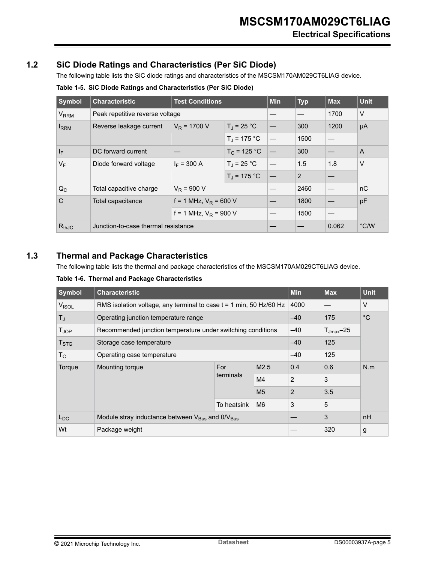### **1.2 SiC Diode Ratings and Characteristics (Per SiC Diode)**

The following table lists the SiC diode ratings and characteristics of the MSCSM170AM029CT6LIAG device.

#### **Table 1-5. SiC Diode Ratings and Characteristics (Per SiC Diode)**

| <b>Symbol</b>          | <b>Characteristic</b>               | <b>Test Conditions</b>   |                      | <b>Min</b> | <b>Typ</b> | <b>Max</b> | <b>Unit</b>    |
|------------------------|-------------------------------------|--------------------------|----------------------|------------|------------|------------|----------------|
| <b>V<sub>RRM</sub></b> | Peak repetitive reverse voltage     |                          |                      |            |            | 1700       | $\vee$         |
| <b>IRRM</b>            | Reverse leakage current             | $V_R$ = 1700 V           | $T_{\rm J}$ = 25 °C  |            | 300        | 1200       | μA             |
|                        |                                     |                          | $T_{\rm J}$ = 175 °C |            | 1500       |            |                |
| ΙF                     | DC forward current                  |                          | $T_c = 125 °C$       |            | 300        |            | $\overline{A}$ |
| $V_F$                  | Diode forward voltage               | $I_F = 300 A$            | $T_{\rm J}$ = 25 °C  |            | 1.5        | 1.8        | $\vee$         |
|                        |                                     |                          | $T_{\rm J}$ = 175 °C |            | 2          |            |                |
| $Q_C$                  | Total capacitive charge             | $V_R = 900 V$            |                      |            | 2460       |            | nC             |
| C                      | Total capacitance                   | f = 1 MHz, $V_R$ = 600 V |                      |            | 1800       |            | pF             |
|                        |                                     | f = 1 MHz, $V_R$ = 900 V |                      |            | 1500       |            |                |
| $R_{thJC}$             | Junction-to-case thermal resistance |                          |                      |            |            | 0.062      | $\degree$ C/W  |

### **1.3 Thermal and Package Characteristics**

The following table lists the thermal and package characteristics of the MSCSM170AM029CT6LIAG device.

**Table 1-6. Thermal and Package Characteristics**

| <b>Symbol</b>           | <b>Characteristic</b>                                                   |                | <b>Min</b>     | <b>Max</b>     | <b>Unit</b>           |                |
|-------------------------|-------------------------------------------------------------------------|----------------|----------------|----------------|-----------------------|----------------|
| <b>V<sub>ISOL</sub></b> | RMS isolation voltage, any terminal to case $t = 1$ min, 50 Hz/60 Hz    |                |                | 4000           |                       | V              |
| $T_{\rm J}$             | Operating junction temperature range                                    |                |                |                | 175                   | $^{\circ}C$    |
| T <sub>JOP</sub>        | Recommended junction temperature under switching conditions             |                |                | $-40$          | $T_{\text{Jmax}}$ -25 |                |
| $T_{STG}$               | Storage case temperature                                                |                |                | $-40$          | 125                   |                |
| $T_{\rm C}$             | Operating case temperature                                              |                |                | $-40$          | 125                   |                |
| Torque                  | Mounting torque                                                         | For            | M2.5           | 0.4            | 0.6                   | N.m            |
|                         |                                                                         | terminals      | M4             | 2              | 3                     |                |
|                         |                                                                         | M <sub>5</sub> |                | $\overline{2}$ | 3.5                   |                |
|                         |                                                                         | To heatsink    | M <sub>6</sub> | 3              | 5                     |                |
| $L_{DC}$                | Module stray inductance between V <sub>Bus</sub> and 0/V <sub>Bus</sub> |                |                |                | 3                     | n <sub>H</sub> |
| Wt                      | Package weight                                                          |                |                |                | 320                   | g              |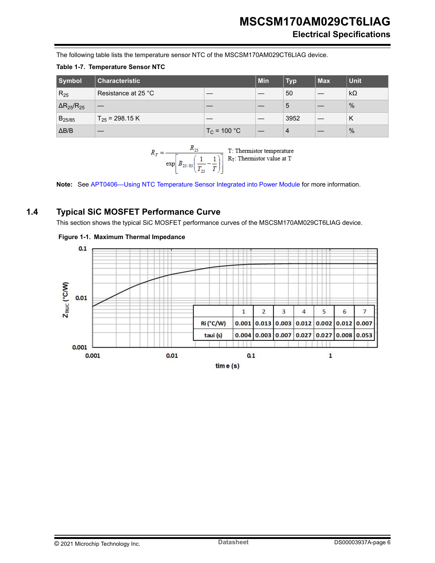#### **Electrical Specifications**

The following table lists the temperature sensor NTC of the MSCSM170AM029CT6LIAG device.

#### **Table 1-7. Temperature Sensor NTC**

| <b>Symbol</b>          | <b>Characteristic</b> |                | <b>Min</b> | <b>Typ</b> | <b>Max</b> | <b>Unit</b> |
|------------------------|-----------------------|----------------|------------|------------|------------|-------------|
| $R_{25}$               | Resistance at 25 °C   |                |            | 50         |            | $k\Omega$   |
| $\Delta R_{25}/R_{25}$ |                       |                |            | 5          |            | $\%$        |
| $B_{25/85}$            | $T_{25}$ = 298.15 K   |                |            | 3952       |            | ĸ           |
| $\Delta$ B/B           |                       | $T_C = 100 °C$ |            | 4          |            | $\%$        |

 $R_T = \frac{R_{25}}{\exp\left[B_{25/85}\left(\frac{1}{T_{25}} - \frac{1}{T}\right)\right]}$  T: Thermistor temperature<br>R<sub>T</sub>: Thermistor value at T

**Note:**  See [APT0406—Using NTC Temperature Sensor Integrated into Power Module](https://www.microsemi.com/document-portal/doc_download/14732-using-ntc-temperature-sensors-integrated-into-power-modules) for more information.

### **1.4 Typical SiC MOSFET Performance Curve**

This section shows the typical SiC MOSFET performance curves of the MSCSM170AM029CT6LIAG device.



#### **Figure 1-1. Maximum Thermal Impedance**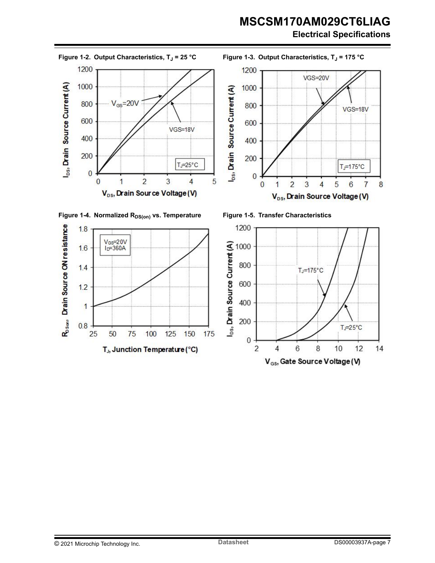### **Electrical Specifications**





 $V$ <sub>GS</sub>= $20V$ 

 $I<sub>D</sub>=360A$ 

R<sub>oson</sub>, Drain Source ON resistance

 $1.8$ 

 $16$ 

 $1.4$ 

 $1.2$ 

 $\overline{1}$ 

 $0.8$ 

25

50

75

100



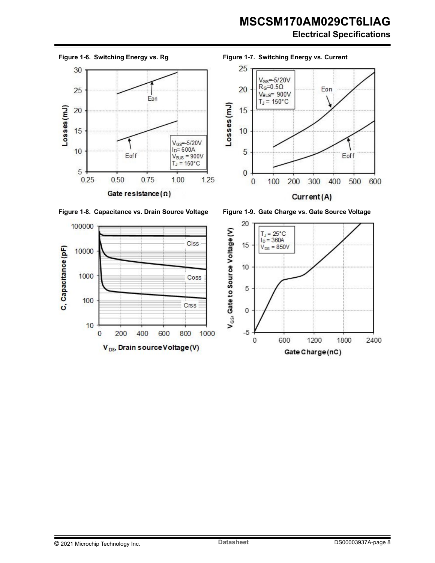### **Electrical Specifications**



30

25

 $20$ 

15

 $10$ 

5

0.25

 $Losses(mJ)$ 

**Figure 1-6. Switching Energy vs. Rg Figure 1-7. Switching Energy vs. Current**





Gate resistance  $(\Omega)$ 

0.75

Eoff

0.50

Eon

 $T_J = 150^{\circ}C$ 

1.00



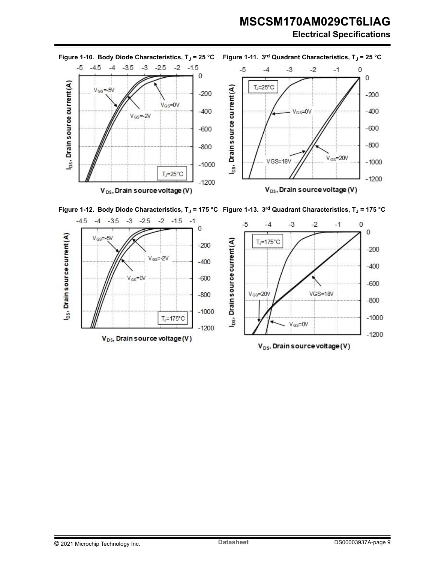#### **Electrical Specifications**





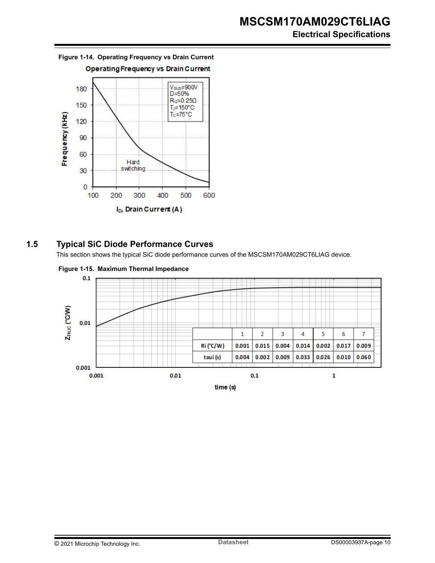

### **1.5 Typical SiC Diode Performance Curves**

This section shows the typical SiC diode performance curves of the MSCSM170AM029CT6LIAG device.



#### **Figure 1-15. Maximum Thermal Impedance**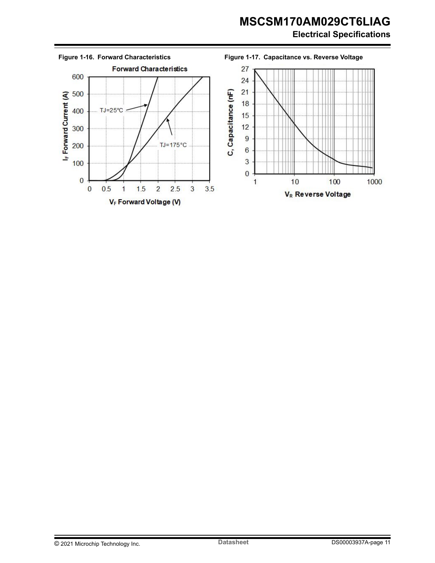**Electrical Specifications**



#### © 2021 Microchip Technology Inc. **Datasheet** DS00003937A-page 11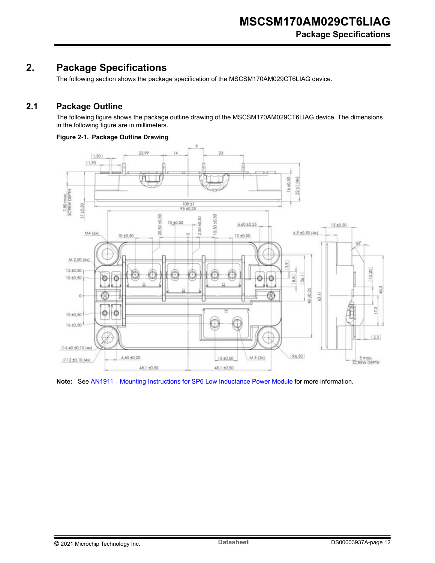### **2. Package Specifications**

The following section shows the package specification of the MSCSM170AM029CT6LIAG device.

### **2.1 Package Outline**

The following figure shows the package outline drawing of the MSCSM170AM029CT6LIAG device. The dimensions in the following figure are in millimeters.

#### **Figure 2-1. Package Outline Drawing**



**Note:**  See [AN1911—Mounting Instructions for SP6 Low Inductance Power Module](https://www.google.com/url?sa=t&rct=j&q=&esrc=s&source=web&cd=&cad=rja&uact=8&ved=2ahUKEwjQoryip6rqAhVVg-YKHVezAf8QFjAAegQIAhAB&url=https%3A%2F%2Fwww.microsemi.com%2Fdocument-portal%2Fdoc_download%2F1243385-micronote-1911-mounting-instructions-for-sp6-low-inductance-power-module&usg=AOvVaw24Y-iQjYKXBj4lE9oc1c7f) for more information.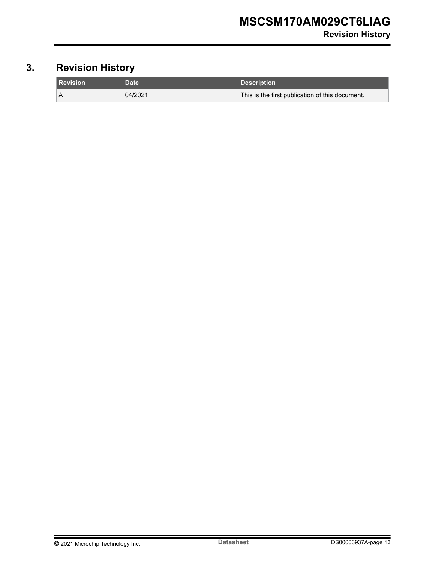## **3. Revision History**

| <b>Revision</b> | Date <sup>1</sup> | <b>Description</b>                              |
|-----------------|-------------------|-------------------------------------------------|
|                 | 04/2021           | This is the first publication of this document. |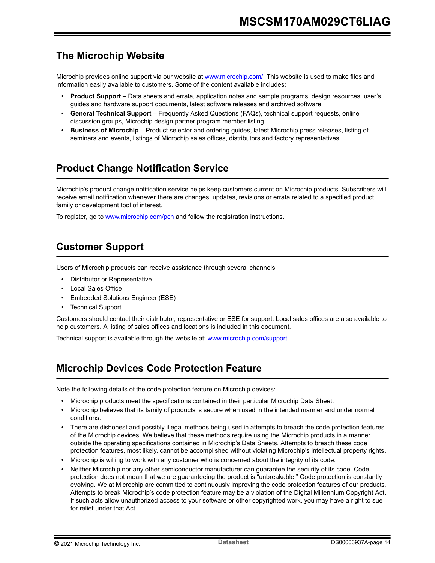### **The Microchip Website**

Microchip provides online support via our website at [www.microchip.com/](http://www.microchip.com/). This website is used to make files and information easily available to customers. Some of the content available includes:

- **Product Support** Data sheets and errata, application notes and sample programs, design resources, user's guides and hardware support documents, latest software releases and archived software
- **General Technical Support** Frequently Asked Questions (FAQs), technical support requests, online discussion groups, Microchip design partner program member listing
- **Business of Microchip** Product selector and ordering guides, latest Microchip press releases, listing of seminars and events, listings of Microchip sales offices, distributors and factory representatives

### **Product Change Notification Service**

Microchip's product change notification service helps keep customers current on Microchip products. Subscribers will receive email notification whenever there are changes, updates, revisions or errata related to a specified product family or development tool of interest.

To register, go to [www.microchip.com/pcn](http://www.microchip.com/pcn) and follow the registration instructions.

## **Customer Support**

Users of Microchip products can receive assistance through several channels:

- Distributor or Representative
- Local Sales Office
- Embedded Solutions Engineer (ESE)
- Technical Support

Customers should contact their distributor, representative or ESE for support. Local sales offices are also available to help customers. A listing of sales offices and locations is included in this document.

Technical support is available through the website at: [www.microchip.com/support](http://www.microchip.com/support)

### **Microchip Devices Code Protection Feature**

Note the following details of the code protection feature on Microchip devices:

- Microchip products meet the specifications contained in their particular Microchip Data Sheet.
- Microchip believes that its family of products is secure when used in the intended manner and under normal conditions.
- There are dishonest and possibly illegal methods being used in attempts to breach the code protection features of the Microchip devices. We believe that these methods require using the Microchip products in a manner outside the operating specifications contained in Microchip's Data Sheets. Attempts to breach these code protection features, most likely, cannot be accomplished without violating Microchip's intellectual property rights.
- Microchip is willing to work with any customer who is concerned about the integrity of its code.
- Neither Microchip nor any other semiconductor manufacturer can guarantee the security of its code. Code protection does not mean that we are guaranteeing the product is "unbreakable." Code protection is constantly evolving. We at Microchip are committed to continuously improving the code protection features of our products. Attempts to break Microchip's code protection feature may be a violation of the Digital Millennium Copyright Act. If such acts allow unauthorized access to your software or other copyrighted work, you may have a right to sue for relief under that Act.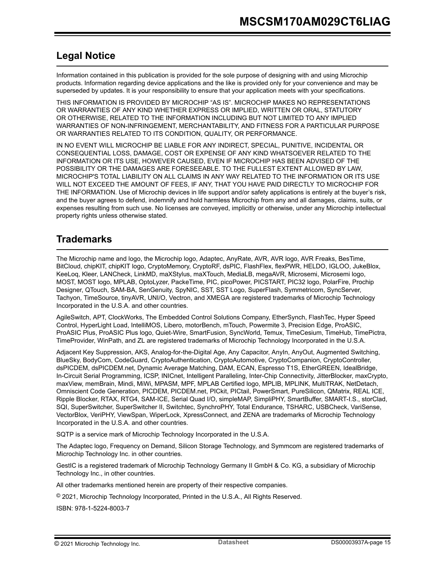### **Legal Notice**

Information contained in this publication is provided for the sole purpose of designing with and using Microchip products. Information regarding device applications and the like is provided only for your convenience and may be superseded by updates. It is your responsibility to ensure that your application meets with your specifications.

THIS INFORMATION IS PROVIDED BY MICROCHIP "AS IS". MICROCHIP MAKES NO REPRESENTATIONS OR WARRANTIES OF ANY KIND WHETHER EXPRESS OR IMPLIED, WRITTEN OR ORAL, STATUTORY OR OTHERWISE, RELATED TO THE INFORMATION INCLUDING BUT NOT LIMITED TO ANY IMPLIED WARRANTIES OF NON-INFRINGEMENT, MERCHANTABILITY, AND FITNESS FOR A PARTICULAR PURPOSE OR WARRANTIES RELATED TO ITS CONDITION, QUALITY, OR PERFORMANCE.

IN NO EVENT WILL MICROCHIP BE LIABLE FOR ANY INDIRECT, SPECIAL, PUNITIVE, INCIDENTAL OR CONSEQUENTIAL LOSS, DAMAGE, COST OR EXPENSE OF ANY KIND WHATSOEVER RELATED TO THE INFORMATION OR ITS USE, HOWEVER CAUSED, EVEN IF MICROCHIP HAS BEEN ADVISED OF THE POSSIBILITY OR THE DAMAGES ARE FORESEEABLE. TO THE FULLEST EXTENT ALLOWED BY LAW, MICROCHIP'S TOTAL LIABILITY ON ALL CLAIMS IN ANY WAY RELATED TO THE INFORMATION OR ITS USE WILL NOT EXCEED THE AMOUNT OF FEES, IF ANY, THAT YOU HAVE PAID DIRECTLY TO MICROCHIP FOR THE INFORMATION. Use of Microchip devices in life support and/or safety applications is entirely at the buyer's risk, and the buyer agrees to defend, indemnify and hold harmless Microchip from any and all damages, claims, suits, or expenses resulting from such use. No licenses are conveyed, implicitly or otherwise, under any Microchip intellectual property rights unless otherwise stated.

### **Trademarks**

The Microchip name and logo, the Microchip logo, Adaptec, AnyRate, AVR, AVR logo, AVR Freaks, BesTime, BitCloud, chipKIT, chipKIT logo, CryptoMemory, CryptoRF, dsPIC, FlashFlex, flexPWR, HELDO, IGLOO, JukeBlox, KeeLoq, Kleer, LANCheck, LinkMD, maXStylus, maXTouch, MediaLB, megaAVR, Microsemi, Microsemi logo, MOST, MOST logo, MPLAB, OptoLyzer, PackeTime, PIC, picoPower, PICSTART, PIC32 logo, PolarFire, Prochip Designer, QTouch, SAM-BA, SenGenuity, SpyNIC, SST, SST Logo, SuperFlash, Symmetricom, SyncServer, Tachyon, TimeSource, tinyAVR, UNI/O, Vectron, and XMEGA are registered trademarks of Microchip Technology Incorporated in the U.S.A. and other countries.

AgileSwitch, APT, ClockWorks, The Embedded Control Solutions Company, EtherSynch, FlashTec, Hyper Speed Control, HyperLight Load, IntelliMOS, Libero, motorBench, mTouch, Powermite 3, Precision Edge, ProASIC, ProASIC Plus, ProASIC Plus logo, Quiet-Wire, SmartFusion, SyncWorld, Temux, TimeCesium, TimeHub, TimePictra, TimeProvider, WinPath, and ZL are registered trademarks of Microchip Technology Incorporated in the U.S.A.

Adjacent Key Suppression, AKS, Analog-for-the-Digital Age, Any Capacitor, AnyIn, AnyOut, Augmented Switching, BlueSky, BodyCom, CodeGuard, CryptoAuthentication, CryptoAutomotive, CryptoCompanion, CryptoController, dsPICDEM, dsPICDEM.net, Dynamic Average Matching, DAM, ECAN, Espresso T1S, EtherGREEN, IdealBridge, In-Circuit Serial Programming, ICSP, INICnet, Intelligent Paralleling, Inter-Chip Connectivity, JitterBlocker, maxCrypto, maxView, memBrain, Mindi, MiWi, MPASM, MPF, MPLAB Certified logo, MPLIB, MPLINK, MultiTRAK, NetDetach, Omniscient Code Generation, PICDEM, PICDEM.net, PICkit, PICtail, PowerSmart, PureSilicon, QMatrix, REAL ICE, Ripple Blocker, RTAX, RTG4, SAM-ICE, Serial Quad I/O, simpleMAP, SimpliPHY, SmartBuffer, SMART-I.S., storClad, SQI, SuperSwitcher, SuperSwitcher II, Switchtec, SynchroPHY, Total Endurance, TSHARC, USBCheck, VariSense, VectorBlox, VeriPHY, ViewSpan, WiperLock, XpressConnect, and ZENA are trademarks of Microchip Technology Incorporated in the U.S.A. and other countries.

SQTP is a service mark of Microchip Technology Incorporated in the U.S.A.

The Adaptec logo, Frequency on Demand, Silicon Storage Technology, and Symmcom are registered trademarks of Microchip Technology Inc. in other countries.

GestIC is a registered trademark of Microchip Technology Germany II GmbH & Co. KG, a subsidiary of Microchip Technology Inc., in other countries.

All other trademarks mentioned herein are property of their respective companies.

 $\textcircled{\tiny{\textcirc}}$  2021, Microchip Technology Incorporated, Printed in the U.S.A., All Rights Reserved.

ISBN: 978-1-5224-8003-7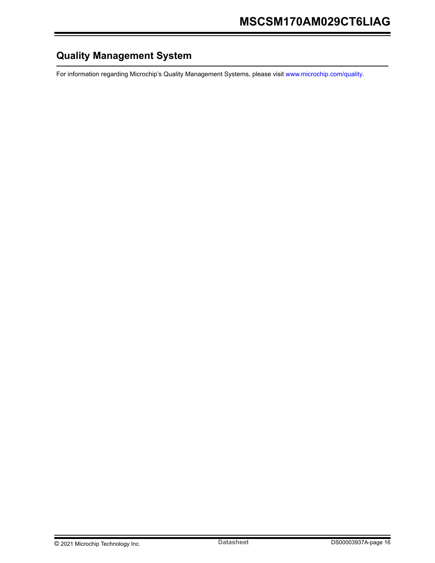## **Quality Management System**

For information regarding Microchip's Quality Management Systems, please visit [www.microchip.com/quality](http://www.microchip.com/quality).